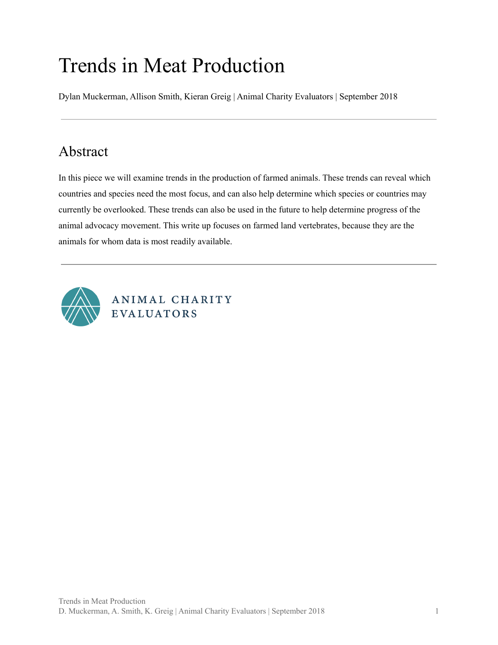# Trends in Meat Production

Dylan Muckerman, Allison Smith, Kieran Greig | Animal Charity Evaluators | September 2018

# <span id="page-0-0"></span>Abstract

In this piece we will examine trends in the production of farmed animals. These trends can reveal which countries and species need the most focus, and can also help determine which species or countries may currently be overlooked. These trends can also be used in the future to help determine progress of the animal advocacy movement. This write up focuses on farmed land vertebrates, because they are the animals for whom data is most readily available.



ANIMAL CHARITY **EVALUATORS**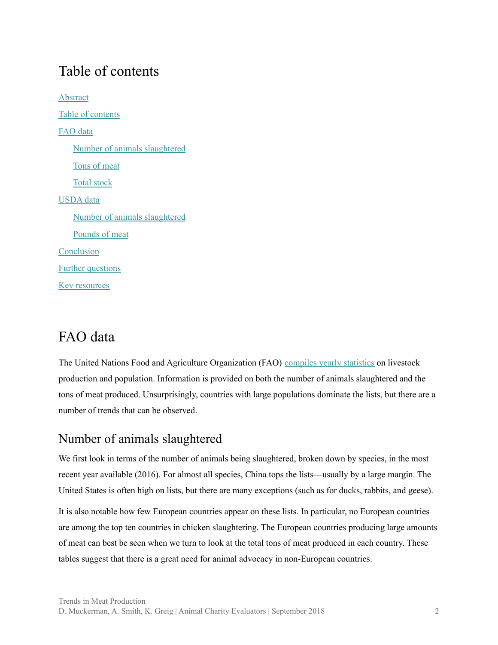# <span id="page-1-0"></span>Table of contents

**[Abstract](#page-0-0)** Table of [contents](#page-1-0) [FAO](#page-1-1) data Number of animals [slaughtered](#page-1-2) [Tons](#page-7-0) of meat Total [stock](#page-14-0) [USDA](#page-20-0) data Number of animals [slaughtered](#page-21-0) [Pounds](#page-24-0) of meat [Conclusion](#page-28-0) Further [questions](#page-29-0) Key [resources](#page-29-1)

# <span id="page-1-1"></span>FAO data

The United Nations Food and Agriculture Organization (FAO) [compiles](http://www.fao.org/faostat/en/) yearly statistics on livestock production and population. Information is provided on both the number of animals slaughtered and the tons of meat produced. Unsurprisingly, countries with large populations dominate the lists, but there are a number of trends that can be observed.

#### <span id="page-1-2"></span>Number of animals slaughtered

We first look in terms of the number of animals being slaughtered, broken down by species, in the most recent year available (2016). For almost all species, China tops the lists—usually by a large margin. The United States is often high on lists, but there are many exceptions (such as for ducks, rabbits, and geese).

It is also notable how few European countries appear on these lists. In particular, no European countries are among the top ten countries in chicken slaughtering. The European countries producing large amounts of meat can best be seen when we turn to look at the total tons of meat produced in each country. These tables suggest that there is a great need for animal advocacy in non-European countries.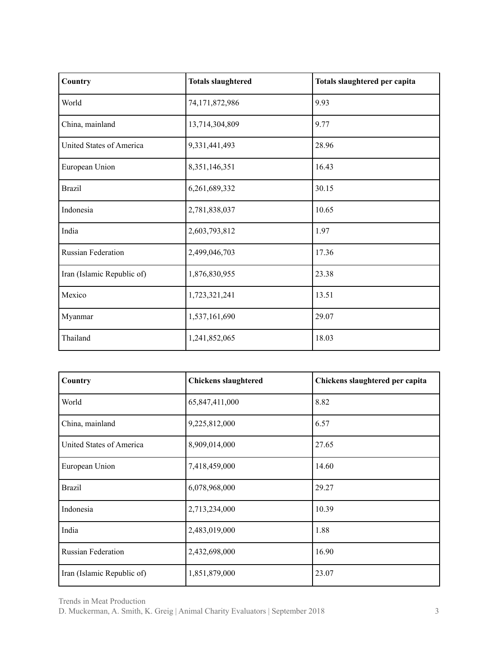| Country                    | <b>Totals slaughtered</b> | Totals slaughtered per capita |
|----------------------------|---------------------------|-------------------------------|
| World                      | 74,171,872,986            | 9.93                          |
| China, mainland            | 13,714,304,809            | 9.77                          |
| United States of America   | 9,331,441,493             | 28.96                         |
| European Union             | 8,351,146,351             | 16.43                         |
| <b>Brazil</b>              | 6,261,689,332             | 30.15                         |
| Indonesia                  | 2,781,838,037             | 10.65                         |
| India                      | 2,603,793,812             | 1.97                          |
| Russian Federation         | 2,499,046,703             | 17.36                         |
| Iran (Islamic Republic of) | 1,876,830,955             | 23.38                         |
| Mexico                     | 1,723,321,241             | 13.51                         |
| Myanmar                    | 1,537,161,690             | 29.07                         |
| Thailand                   | 1,241,852,065             | 18.03                         |

| Country                    | <b>Chickens slaughtered</b> | Chickens slaughtered per capita |
|----------------------------|-----------------------------|---------------------------------|
| World                      | 65,847,411,000              | 8.82                            |
| China, mainland            | 9,225,812,000               | 6.57                            |
| United States of America   | 8,909,014,000               | 27.65                           |
| European Union             | 7,418,459,000               | 14.60                           |
| <b>Brazil</b>              | 6,078,968,000               | 29.27                           |
| Indonesia                  | 2,713,234,000               | 10.39                           |
| India                      | 2,483,019,000               | 1.88                            |
| <b>Russian Federation</b>  | 2,432,698,000               | 16.90                           |
| Iran (Islamic Republic of) | 1,851,879,000               | 23.07                           |

Trends in Meat Production

D. Muckerman, A. Smith, K. Greig | Animal Charity Evaluators | September 2018 3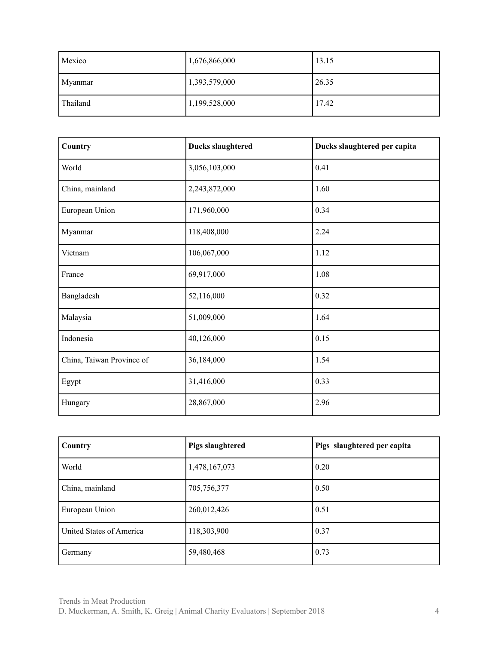| Mexico   | 1,676,866,000 | 13.15 |
|----------|---------------|-------|
| Myanmar  | 1,393,579,000 | 26.35 |
| Thailand | 1,199,528,000 | 17.42 |

| Country                   | <b>Ducks slaughtered</b> | Ducks slaughtered per capita |
|---------------------------|--------------------------|------------------------------|
| World                     | 3,056,103,000            | 0.41                         |
| China, mainland           | 2,243,872,000            | 1.60                         |
| European Union            | 171,960,000              | 0.34                         |
| Myanmar                   | 118,408,000              | 2.24                         |
| Vietnam                   | 106,067,000              | 1.12                         |
| France                    | 69,917,000               | 1.08                         |
| Bangladesh                | 52,116,000               | 0.32                         |
| Malaysia                  | 51,009,000               | 1.64                         |
| Indonesia                 | 40,126,000               | 0.15                         |
| China, Taiwan Province of | 36,184,000               | 1.54                         |
| Egypt                     | 31,416,000               | 0.33                         |
| Hungary                   | 28,867,000               | 2.96                         |

| Country                  | <b>Pigs slaughtered</b> | Pigs slaughtered per capita |
|--------------------------|-------------------------|-----------------------------|
| World                    | 1,478,167,073           | 0.20                        |
| China, mainland          | 705,756,377             | 0.50                        |
| European Union           | 260,012,426             | 0.51                        |
| United States of America | 118,303,900             | 0.37                        |
| Germany                  | 59,480,468              | 0.73                        |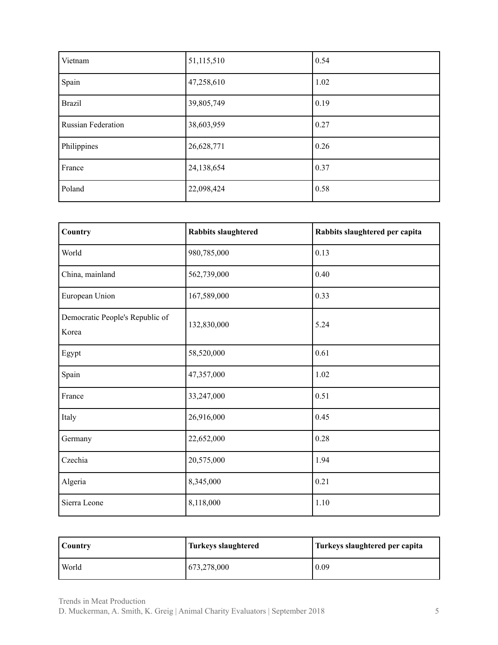| Vietnam                   | 51,115,510 | 0.54 |
|---------------------------|------------|------|
| Spain                     | 47,258,610 | 1.02 |
| <b>Brazil</b>             | 39,805,749 | 0.19 |
| <b>Russian Federation</b> | 38,603,959 | 0.27 |
| Philippines               | 26,628,771 | 0.26 |
| France                    | 24,138,654 | 0.37 |
| Poland                    | 22,098,424 | 0.58 |

| Country                                  | <b>Rabbits slaughtered</b> | Rabbits slaughtered per capita |
|------------------------------------------|----------------------------|--------------------------------|
| World                                    | 980,785,000                | 0.13                           |
| China, mainland                          | 562,739,000                | 0.40                           |
| European Union                           | 167,589,000                | 0.33                           |
| Democratic People's Republic of<br>Korea | 132,830,000                | 5.24                           |
| Egypt                                    | 58,520,000                 | 0.61                           |
| Spain                                    | 47,357,000                 | 1.02                           |
| France                                   | 33,247,000                 | 0.51                           |
| Italy                                    | 26,916,000                 | 0.45                           |
| Germany                                  | 22,652,000                 | 0.28                           |
| Czechia                                  | 20,575,000                 | 1.94                           |
| Algeria                                  | 8,345,000                  | 0.21                           |
| Sierra Leone                             | 8,118,000                  | 1.10                           |

| Country | Turkeys slaughtered | Turkeys slaughtered per capita |
|---------|---------------------|--------------------------------|
| World   | 673,278,000         | 0.09                           |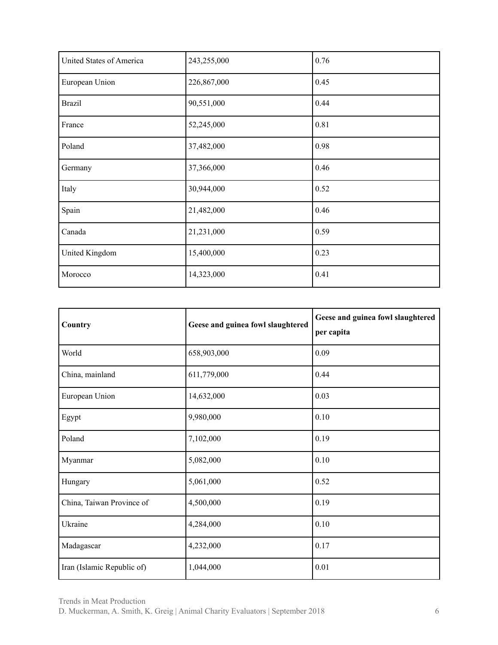| United States of America | 243,255,000 | 0.76 |
|--------------------------|-------------|------|
| European Union           | 226,867,000 | 0.45 |
| <b>Brazil</b>            | 90,551,000  | 0.44 |
| France                   | 52,245,000  | 0.81 |
| Poland                   | 37,482,000  | 0.98 |
| Germany                  | 37,366,000  | 0.46 |
| Italy                    | 30,944,000  | 0.52 |
| Spain                    | 21,482,000  | 0.46 |
| Canada                   | 21,231,000  | 0.59 |
| United Kingdom           | 15,400,000  | 0.23 |
| Morocco                  | 14,323,000  | 0.41 |

| Country                    | Geese and guinea fowl slaughtered | Geese and guinea fowl slaughtered<br>per capita |
|----------------------------|-----------------------------------|-------------------------------------------------|
| World                      | 658,903,000                       | 0.09                                            |
| China, mainland            | 611,779,000                       | 0.44                                            |
| European Union             | 14,632,000                        | 0.03                                            |
| Egypt                      | 9,980,000                         | 0.10                                            |
| Poland                     | 7,102,000                         | 0.19                                            |
| Myanmar                    | 5,082,000                         | 0.10                                            |
| Hungary                    | 5,061,000                         | 0.52                                            |
| China, Taiwan Province of  | 4,500,000                         | 0.19                                            |
| Ukraine                    | 4,284,000                         | 0.10                                            |
| Madagascar                 | 4,232,000                         | 0.17                                            |
| Iran (Islamic Republic of) | 1,044,000                         | 0.01                                            |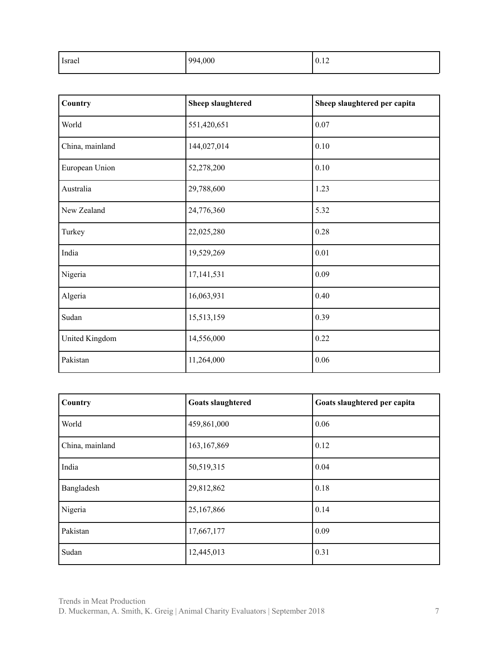| Israel | 994,000 | 0.12 |
|--------|---------|------|
|        |         |      |

| Country               | <b>Sheep slaughtered</b> | Sheep slaughtered per capita |
|-----------------------|--------------------------|------------------------------|
| World                 | 551,420,651              | 0.07                         |
| China, mainland       | 144,027,014              | 0.10                         |
| European Union        | 52,278,200               | 0.10                         |
| Australia             | 29,788,600               | 1.23                         |
| New Zealand           | 24,776,360               | 5.32                         |
| Turkey                | 22,025,280               | 0.28                         |
| India                 | 19,529,269               | 0.01                         |
| Nigeria               | 17, 141, 531             | 0.09                         |
| Algeria               | 16,063,931               | 0.40                         |
| Sudan                 | 15,513,159               | 0.39                         |
| <b>United Kingdom</b> | 14,556,000               | 0.22                         |
| Pakistan              | 11,264,000               | 0.06                         |

| Country         | <b>Goats slaughtered</b> | Goats slaughtered per capita |
|-----------------|--------------------------|------------------------------|
| World           | 459,861,000              | 0.06                         |
| China, mainland | 163, 167, 869            | $\vert 0.12 \vert$           |
| India           | 50,519,315               | $\vert 0.04 \vert$           |
| Bangladesh      | 29,812,862               | 0.18                         |
| Nigeria         | 25,167,866               | 0.14                         |
| Pakistan        | 17,667,177               | 0.09                         |
| Sudan           | 12,445,013               | 0.31                         |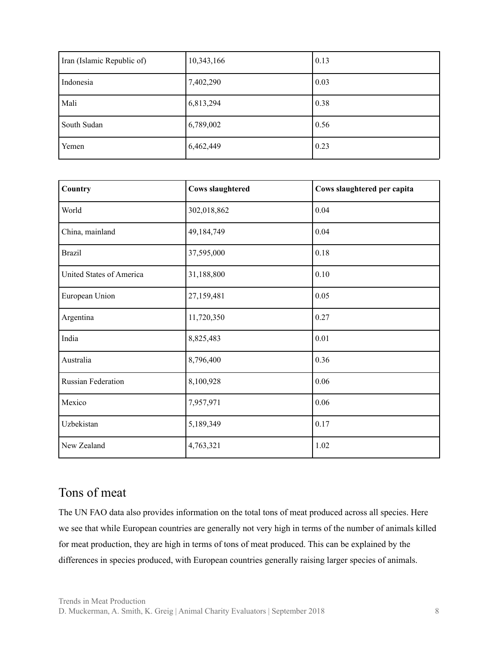| Iran (Islamic Republic of) | 10,343,166 | 0.13 |
|----------------------------|------------|------|
| Indonesia                  | 7,402,290  | 0.03 |
| Mali                       | 6,813,294  | 0.38 |
| South Sudan                | 6,789,002  | 0.56 |
| Yemen                      | 6,462,449  | 0.23 |

| Country                   | <b>Cows slaughtered</b> | Cows slaughtered per capita |
|---------------------------|-------------------------|-----------------------------|
| World                     | 302,018,862             | 0.04                        |
| China, mainland           | 49,184,749              | 0.04                        |
| <b>Brazil</b>             | 37,595,000              | 0.18                        |
| United States of America  | 31,188,800              | 0.10                        |
| European Union            | 27,159,481              | 0.05                        |
| Argentina                 | 11,720,350              | 0.27                        |
| India                     | 8,825,483               | 0.01                        |
| Australia                 | 8,796,400               | 0.36                        |
| <b>Russian Federation</b> | 8,100,928               | 0.06                        |
| Mexico                    | 7,957,971               | 0.06                        |
| Uzbekistan                | 5,189,349               | 0.17                        |
| New Zealand               | 4,763,321               | 1.02                        |

#### <span id="page-7-0"></span>Tons of meat

The UN FAO data also provides information on the total tons of meat produced across all species. Here we see that while European countries are generally not very high in terms of the number of animals killed for meat production, they are high in terms of tons of meat produced. This can be explained by the differences in species produced, with European countries generally raising larger species of animals.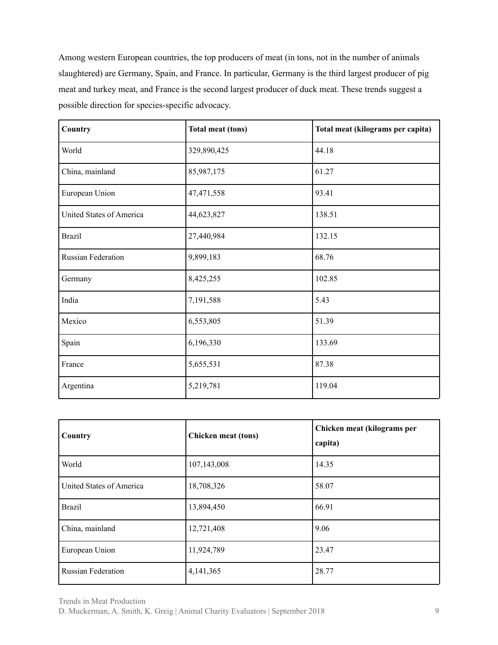Among western European countries, the top producers of meat (in tons, not in the number of animals slaughtered) are Germany, Spain, and France. In particular, Germany is the third largest producer of pig meat and turkey meat, and France is the second largest producer of duck meat. These trends suggest a possible direction for species-specific advocacy.

| Country                   | <b>Total meat (tons)</b> | Total meat (kilograms per capita) |
|---------------------------|--------------------------|-----------------------------------|
| World                     | 329,890,425              | 44.18                             |
| China, mainland           | 85,987,175               | 61.27                             |
| European Union            | 47,471,558               | 93.41                             |
| United States of America  | 44,623,827               | 138.51                            |
| <b>Brazil</b>             | 27,440,984               | 132.15                            |
| <b>Russian Federation</b> | 9,899,183                | 68.76                             |
| Germany                   | 8,425,255                | 102.85                            |
| India                     | 7,191,588                | 5.43                              |
| Mexico                    | 6,553,805                | 51.39                             |
| Spain                     | 6,196,330                | 133.69                            |
| France                    | 5,655,531                | 87.38                             |
| Argentina                 | 5,219,781                | 119.04                            |

| Country                   | <b>Chicken meat (tons)</b> | Chicken meat (kilograms per<br>capita) |
|---------------------------|----------------------------|----------------------------------------|
| World                     | 107,143,008                | 14.35                                  |
| United States of America  | 18,708,326                 | 58.07                                  |
| <b>Brazil</b>             | 13,894,450                 | 66.91                                  |
| China, mainland           | 12,721,408                 | 9.06                                   |
| European Union            | 11,924,789                 | 23.47                                  |
| <b>Russian Federation</b> | 4,141,365                  | 28.77                                  |

Trends in Meat Production

D. Muckerman, A. Smith, K. Greig | Animal Charity Evaluators | September 2018 9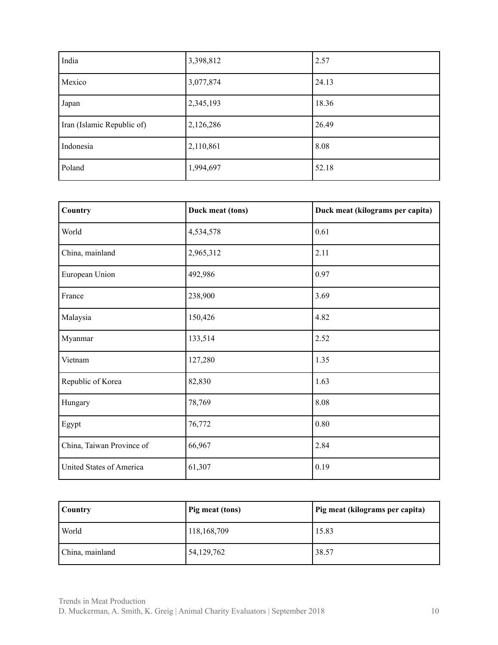| India                      | 3,398,812 | 2.57  |
|----------------------------|-----------|-------|
| Mexico                     | 3,077,874 | 24.13 |
| Japan                      | 2,345,193 | 18.36 |
| Iran (Islamic Republic of) | 2,126,286 | 26.49 |
| Indonesia                  | 2,110,861 | 8.08  |
| Poland                     | 1,994,697 | 52.18 |

| Country                   | Duck meat (tons) | Duck meat (kilograms per capita) |
|---------------------------|------------------|----------------------------------|
| World                     | 4,534,578        | 0.61                             |
| China, mainland           | 2,965,312        | 2.11                             |
| European Union            | 492,986          | 0.97                             |
| France                    | 238,900          | 3.69                             |
| Malaysia                  | 150,426          | 4.82                             |
| Myanmar                   | 133,514          | 2.52                             |
| Vietnam                   | 127,280          | 1.35                             |
| Republic of Korea         | 82,830           | 1.63                             |
| Hungary                   | 78,769           | 8.08                             |
| Egypt                     | 76,772           | 0.80                             |
| China, Taiwan Province of | 66,967           | 2.84                             |
| United States of America  | 61,307           | 0.19                             |

| Country         | Pig meat (tons) | Pig meat (kilograms per capita) |
|-----------------|-----------------|---------------------------------|
| World           | 118,168,709     | 15.83                           |
| China, mainland | 54, 129, 762    | 38.57                           |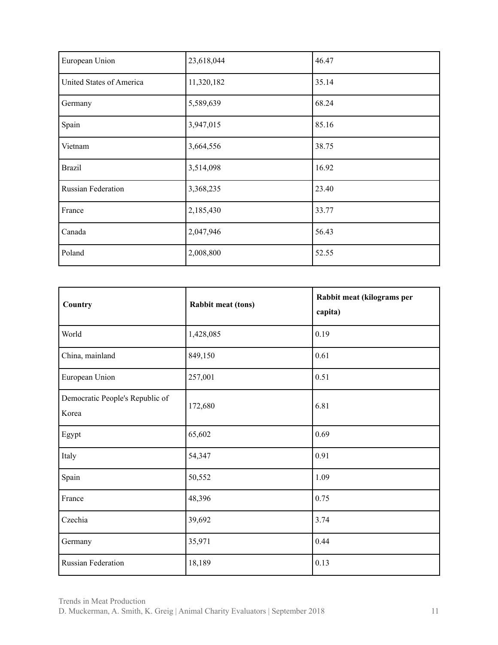| European Union            | 23,618,044 | 46.47 |
|---------------------------|------------|-------|
| United States of America  | 11,320,182 | 35.14 |
| Germany                   | 5,589,639  | 68.24 |
| Spain                     | 3,947,015  | 85.16 |
| Vietnam                   | 3,664,556  | 38.75 |
| <b>Brazil</b>             | 3,514,098  | 16.92 |
| <b>Russian Federation</b> | 3,368,235  | 23.40 |
| France                    | 2,185,430  | 33.77 |
| Canada                    | 2,047,946  | 56.43 |
| Poland                    | 2,008,800  | 52.55 |

| Country                                  | <b>Rabbit meat (tons)</b> | Rabbit meat (kilograms per<br>capita) |
|------------------------------------------|---------------------------|---------------------------------------|
| World                                    | 1,428,085                 | 0.19                                  |
| China, mainland                          | 849,150                   | 0.61                                  |
| European Union                           | 257,001                   | 0.51                                  |
| Democratic People's Republic of<br>Korea | 172,680                   | 6.81                                  |
| Egypt                                    | 65,602                    | 0.69                                  |
| Italy                                    | 54,347                    | 0.91                                  |
| Spain                                    | 50,552                    | 1.09                                  |
| France                                   | 48,396                    | 0.75                                  |
| Czechia                                  | 39,692                    | 3.74                                  |
| Germany                                  | 35,971                    | 0.44                                  |
| <b>Russian Federation</b>                | 18,189                    | 0.13                                  |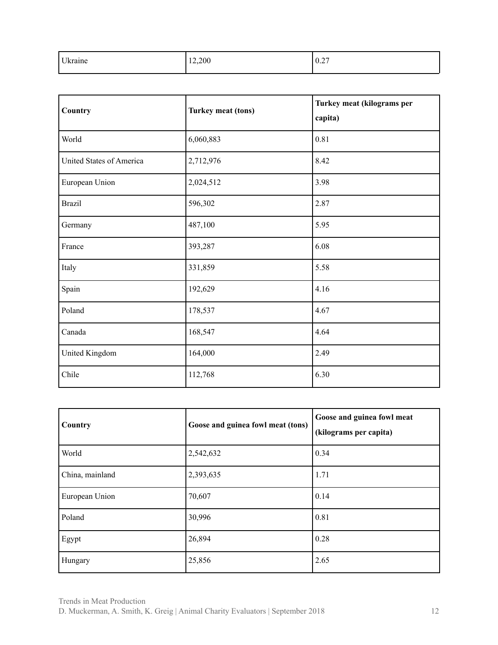| Ukraine | 12,200 | 0.27 |
|---------|--------|------|
|         |        |      |

| Country                  | Turkey meat (tons) | Turkey meat (kilograms per<br>capita) |
|--------------------------|--------------------|---------------------------------------|
| World                    | 6,060,883          | 0.81                                  |
| United States of America | 2,712,976          | 8.42                                  |
| European Union           | 2,024,512          | 3.98                                  |
| <b>Brazil</b>            | 596,302            | 2.87                                  |
| Germany                  | 487,100            | 5.95                                  |
| France                   | 393,287            | 6.08                                  |
| Italy                    | 331,859            | 5.58                                  |
| Spain                    | 192,629            | 4.16                                  |
| Poland                   | 178,537            | 4.67                                  |
| Canada                   | 168,547            | 4.64                                  |
| United Kingdom           | 164,000            | 2.49                                  |
| Chile                    | 112,768            | 6.30                                  |

| Country         | Goose and guinea fowl meat (tons) | Goose and guinea fowl meat<br>(kilograms per capita) |
|-----------------|-----------------------------------|------------------------------------------------------|
| World           | 2,542,632                         | 0.34                                                 |
| China, mainland | 2,393,635                         | 1.71                                                 |
| European Union  | 70,607                            | 0.14                                                 |
| Poland          | 30,996                            | 0.81                                                 |
| Egypt           | 26,894                            | 0.28                                                 |
| Hungary         | 25,856                            | 2.65                                                 |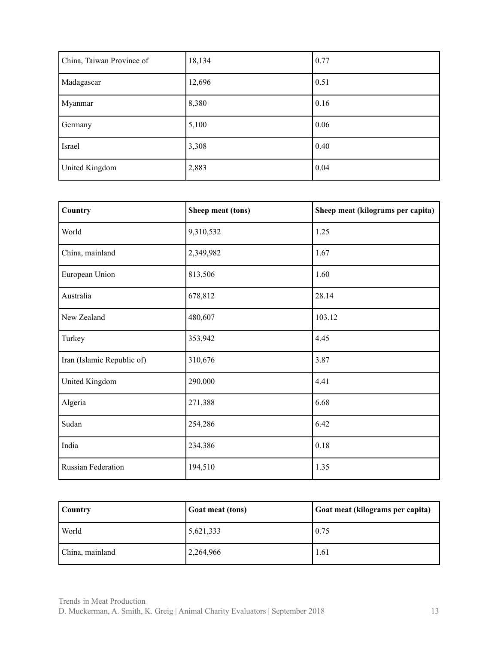| China, Taiwan Province of | 18,134 | 0.77 |
|---------------------------|--------|------|
| Madagascar                | 12,696 | 0.51 |
| Myanmar                   | 8,380  | 0.16 |
| Germany                   | 5,100  | 0.06 |
| Israel                    | 3,308  | 0.40 |
| United Kingdom            | 2,883  | 0.04 |

| Country                    | Sheep meat (tons) | Sheep meat (kilograms per capita) |
|----------------------------|-------------------|-----------------------------------|
| World                      | 9,310,532         | 1.25                              |
| China, mainland            | 2,349,982         | 1.67                              |
| European Union             | 813,506           | 1.60                              |
| Australia                  | 678,812           | 28.14                             |
| New Zealand                | 480,607           | 103.12                            |
| Turkey                     | 353,942           | 4.45                              |
| Iran (Islamic Republic of) | 310,676           | 3.87                              |
| United Kingdom             | 290,000           | 4.41                              |
| Algeria                    | 271,388           | 6.68                              |
| Sudan                      | 254,286           | 6.42                              |
| India                      | 234,386           | 0.18                              |
| <b>Russian Federation</b>  | 194,510           | 1.35                              |

| <b>Country</b>  | <b>Goat meat (tons)</b> | Goat meat (kilograms per capita) |
|-----------------|-------------------------|----------------------------------|
| World           | 5,621,333               | 0.75                             |
| China, mainland | 2,264,966               | 1.61                             |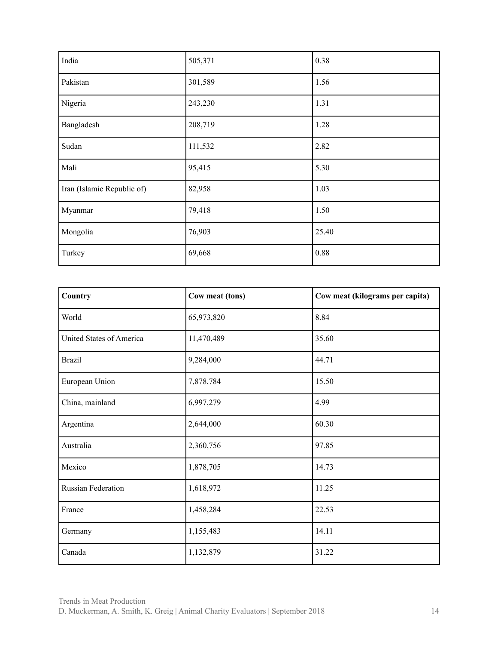| India                      | 505,371 | 0.38  |
|----------------------------|---------|-------|
| Pakistan                   | 301,589 | 1.56  |
| Nigeria                    | 243,230 | 1.31  |
| Bangladesh                 | 208,719 | 1.28  |
| Sudan                      | 111,532 | 2.82  |
| Mali                       | 95,415  | 5.30  |
| Iran (Islamic Republic of) | 82,958  | 1.03  |
| Myanmar                    | 79,418  | 1.50  |
| Mongolia                   | 76,903  | 25.40 |
| Turkey                     | 69,668  | 0.88  |

| Country                   | Cow meat (tons) | Cow meat (kilograms per capita) |
|---------------------------|-----------------|---------------------------------|
| World                     | 65,973,820      | 8.84                            |
| United States of America  | 11,470,489      | 35.60                           |
| <b>Brazil</b>             | 9,284,000       | 44.71                           |
| European Union            | 7,878,784       | 15.50                           |
| China, mainland           | 6,997,279       | 4.99                            |
| Argentina                 | 2,644,000       | 60.30                           |
| Australia                 | 2,360,756       | 97.85                           |
| Mexico                    | 1,878,705       | 14.73                           |
| <b>Russian Federation</b> | 1,618,972       | 11.25                           |
| France                    | 1,458,284       | 22.53                           |
| Germany                   | 1,155,483       | 14.11                           |
| Canada                    | 1,132,879       | 31.22                           |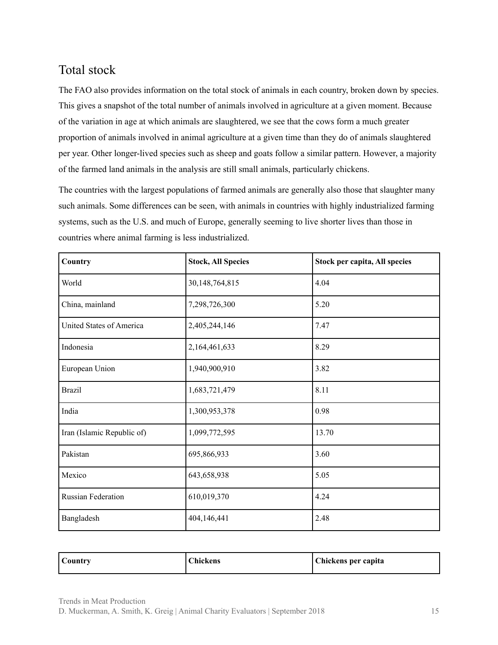## <span id="page-14-0"></span>Total stock

The FAO also provides information on the total stock of animals in each country, broken down by species. This gives a snapshot of the total number of animals involved in agriculture at a given moment. Because of the variation in age at which animals are slaughtered, we see that the cows form a much greater proportion of animals involved in animal agriculture at a given time than they do of animals slaughtered per year. Other longer-lived species such as sheep and goats follow a similar pattern. However, a majority of the farmed land animals in the analysis are still small animals, particularly chickens.

The countries with the largest populations of farmed animals are generally also those that slaughter many such animals. Some differences can be seen, with animals in countries with highly industrialized farming systems, such as the U.S. and much of Europe, generally seeming to live shorter lives than those in countries where animal farming is less industrialized.

| Country                    | <b>Stock, All Species</b> | Stock per capita, All species |
|----------------------------|---------------------------|-------------------------------|
| World                      | 30,148,764,815            | 4.04                          |
| China, mainland            | 7,298,726,300             | 5.20                          |
| United States of America   | 2,405,244,146             | 7.47                          |
| Indonesia                  | 2,164,461,633             | 8.29                          |
| European Union             | 1,940,900,910             | 3.82                          |
| <b>Brazil</b>              | 1,683,721,479             | 8.11                          |
| India                      | 1,300,953,378             | 0.98                          |
| Iran (Islamic Republic of) | 1,099,772,595             | 13.70                         |
| Pakistan                   | 695,866,933               | 3.60                          |
| Mexico                     | 643,658,938               | 5.05                          |
| Russian Federation         | 610,019,370               | 4.24                          |
| Bangladesh                 | 404,146,441               | 2.48                          |

| Country | <b>Chickens</b> | Chickens per capita |
|---------|-----------------|---------------------|
|---------|-----------------|---------------------|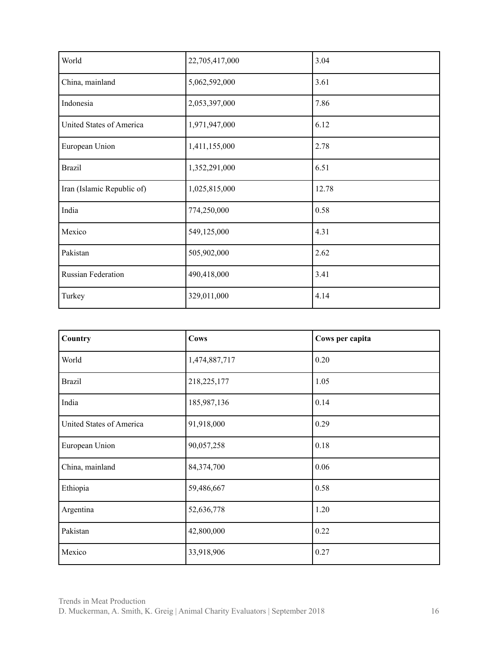| World                      | 22,705,417,000 | 3.04  |
|----------------------------|----------------|-------|
| China, mainland            | 5,062,592,000  | 3.61  |
| Indonesia                  | 2,053,397,000  | 7.86  |
| United States of America   | 1,971,947,000  | 6.12  |
| European Union             | 1,411,155,000  | 2.78  |
| <b>Brazil</b>              | 1,352,291,000  | 6.51  |
| Iran (Islamic Republic of) | 1,025,815,000  | 12.78 |
| India                      | 774,250,000    | 0.58  |
| Mexico                     | 549,125,000    | 4.31  |
| Pakistan                   | 505,902,000    | 2.62  |
| Russian Federation         | 490,418,000    | 3.41  |
| Turkey                     | 329,011,000    | 4.14  |

| Country                  | <b>Cows</b>   | Cows per capita |
|--------------------------|---------------|-----------------|
| World                    | 1,474,887,717 | 0.20            |
| <b>Brazil</b>            | 218,225,177   | 1.05            |
| India                    | 185,987,136   | 0.14            |
| United States of America | 91,918,000    | 0.29            |
| European Union           | 90,057,258    | 0.18            |
| China, mainland          | 84,374,700    | 0.06            |
| Ethiopia                 | 59,486,667    | 0.58            |
| Argentina                | 52,636,778    | 1.20            |
| Pakistan                 | 42,800,000    | 0.22            |
| Mexico                   | 33,918,906    | 0.27            |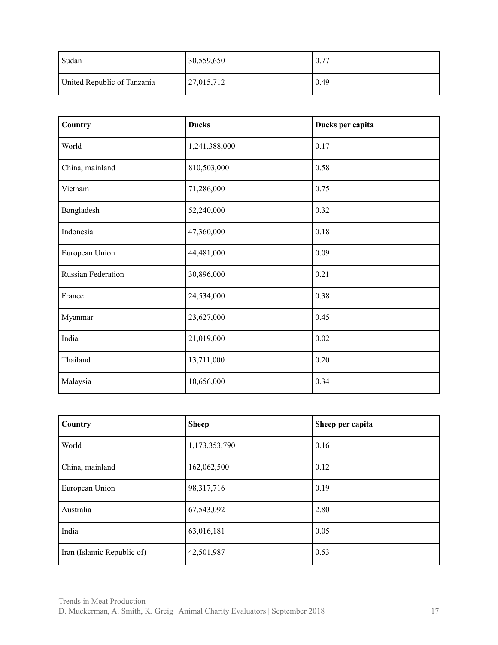| Sudan                       | 30,559,650           | 0.77 |
|-----------------------------|----------------------|------|
| United Republic of Tanzania | $ 27,015,712\rangle$ | 0.49 |

| Country            | <b>Ducks</b>  | Ducks per capita |
|--------------------|---------------|------------------|
| World              | 1,241,388,000 | 0.17             |
| China, mainland    | 810,503,000   | 0.58             |
| Vietnam            | 71,286,000    | 0.75             |
| Bangladesh         | 52,240,000    | 0.32             |
| Indonesia          | 47,360,000    | 0.18             |
| European Union     | 44,481,000    | 0.09             |
| Russian Federation | 30,896,000    | 0.21             |
| France             | 24,534,000    | 0.38             |
| Myanmar            | 23,627,000    | 0.45             |
| India              | 21,019,000    | $0.02\,$         |
| Thailand           | 13,711,000    | 0.20             |
| Malaysia           | 10,656,000    | 0.34             |

| Country                    | <b>Sheep</b>  | Sheep per capita |
|----------------------------|---------------|------------------|
| World                      | 1,173,353,790 | 0.16             |
| China, mainland            | 162,062,500   | 0.12             |
| European Union             | 98, 317, 716  | 0.19             |
| Australia                  | 67,543,092    | 2.80             |
| India                      | 63,016,181    | 0.05             |
| Iran (Islamic Republic of) | 42,501,987    | 0.53             |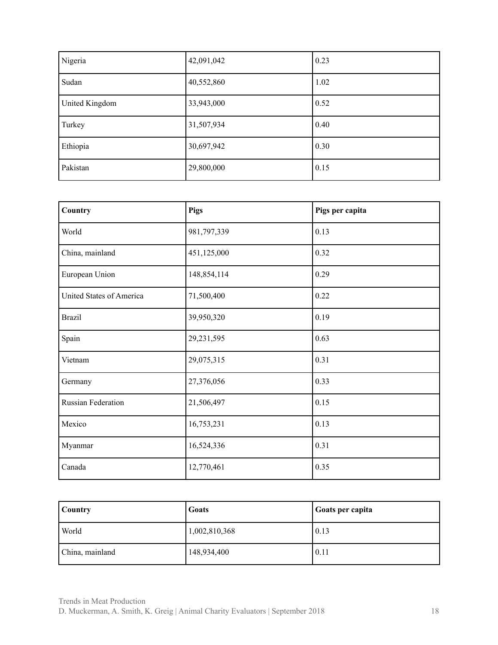| Nigeria        | 42,091,042 | 0.23 |
|----------------|------------|------|
| Sudan          | 40,552,860 | 1.02 |
| United Kingdom | 33,943,000 | 0.52 |
| Turkey         | 31,507,934 | 0.40 |
| Ethiopia       | 30,697,942 | 0.30 |
| Pakistan       | 29,800,000 | 0.15 |

| Country                  | <b>Pigs</b> | Pigs per capita |
|--------------------------|-------------|-----------------|
| World                    | 981,797,339 | 0.13            |
| China, mainland          | 451,125,000 | 0.32            |
| European Union           | 148,854,114 | 0.29            |
| United States of America | 71,500,400  | 0.22            |
| <b>Brazil</b>            | 39,950,320  | 0.19            |
| Spain                    | 29,231,595  | 0.63            |
| Vietnam                  | 29,075,315  | 0.31            |
| Germany                  | 27,376,056  | 0.33            |
| Russian Federation       | 21,506,497  | 0.15            |
| Mexico                   | 16,753,231  | 0.13            |
| Myanmar                  | 16,524,336  | 0.31            |
| Canada                   | 12,770,461  | 0.35            |

| <b>Country</b>  | Goats         | <b>Goats per capita</b> |
|-----------------|---------------|-------------------------|
| World           | 1,002,810,368 | $\vert 0.13 \vert$      |
| China, mainland | 148,934,400   | $\mid$ 0.11             |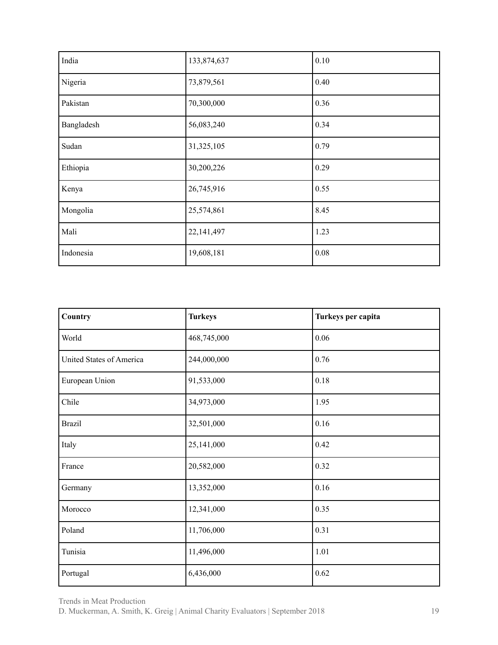| India      | 133,874,637  | 0.10 |
|------------|--------------|------|
| Nigeria    | 73,879,561   | 0.40 |
| Pakistan   | 70,300,000   | 0.36 |
| Bangladesh | 56,083,240   | 0.34 |
| Sudan      | 31,325,105   | 0.79 |
| Ethiopia   | 30,200,226   | 0.29 |
| Kenya      | 26,745,916   | 0.55 |
| Mongolia   | 25,574,861   | 8.45 |
| Mali       | 22, 141, 497 | 1.23 |
| Indonesia  | 19,608,181   | 0.08 |

| Country                  | <b>Turkeys</b> | Turkeys per capita |
|--------------------------|----------------|--------------------|
| World                    | 468,745,000    | 0.06               |
| United States of America | 244,000,000    | 0.76               |
| European Union           | 91,533,000     | 0.18               |
| Chile                    | 34,973,000     | 1.95               |
| <b>Brazil</b>            | 32,501,000     | 0.16               |
| Italy                    | 25,141,000     | 0.42               |
| France                   | 20,582,000     | 0.32               |
| Germany                  | 13,352,000     | 0.16               |
| Morocco                  | 12,341,000     | 0.35               |
| Poland                   | 11,706,000     | 0.31               |
| Tunisia                  | 11,496,000     | 1.01               |
| Portugal                 | 6,436,000      | 0.62               |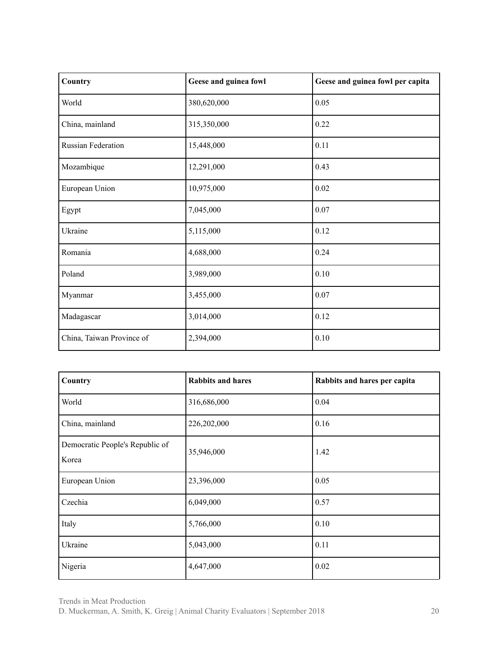| Country                   | Geese and guinea fowl | Geese and guinea fowl per capita |
|---------------------------|-----------------------|----------------------------------|
| World                     | 380,620,000           | 0.05                             |
| China, mainland           | 315,350,000           | 0.22                             |
| <b>Russian Federation</b> | 15,448,000            | 0.11                             |
| Mozambique                | 12,291,000            | 0.43                             |
| European Union            | 10,975,000            | 0.02                             |
| Egypt                     | 7,045,000             | 0.07                             |
| Ukraine                   | 5,115,000             | 0.12                             |
| Romania                   | 4,688,000             | 0.24                             |
| Poland                    | 3,989,000             | 0.10                             |
| Myanmar                   | 3,455,000             | 0.07                             |
| Madagascar                | 3,014,000             | 0.12                             |
| China, Taiwan Province of | 2,394,000             | 0.10                             |

| Country                                  | <b>Rabbits and hares</b> | Rabbits and hares per capita |
|------------------------------------------|--------------------------|------------------------------|
| World                                    | 316,686,000              | 0.04                         |
| China, mainland                          | 226,202,000              | 0.16                         |
| Democratic People's Republic of<br>Korea | 35,946,000               | 1.42                         |
| European Union                           | 23,396,000               | 0.05                         |
| Czechia                                  | 6,049,000                | 0.57                         |
| Italy                                    | 5,766,000                | 0.10                         |
| Ukraine                                  | 5,043,000                | 0.11                         |
| Nigeria                                  | 4,647,000                | 0.02                         |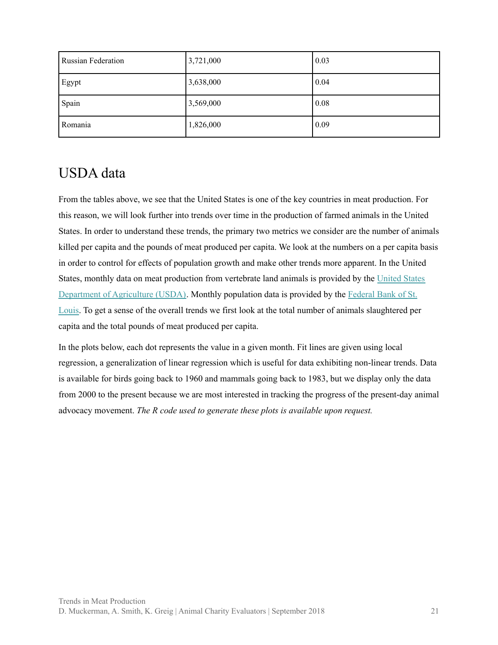| <b>Russian Federation</b> | 3,721,000 | $\vert 0.03 \vert$ |
|---------------------------|-----------|--------------------|
| Egypt                     | 3,638,000 | 0.04               |
| Spain                     | 3,569,000 | 0.08               |
| Romania                   | 1,826,000 | 0.09               |

## <span id="page-20-0"></span>USDA data

From the tables above, we see that the United States is one of the key countries in meat production. For this reason, we will look further into trends over time in the production of farmed animals in the United States. In order to understand these trends, the primary two metrics we consider are the number of animals killed per capita and the pounds of meat produced per capita. We look at the numbers on a per capita basis in order to control for effects of population growth and make other trends more apparent. In the United States, monthly data on meat production from vertebrate land animals is provided by the [United](https://www.ers.usda.gov/data-products/livestock-meat-domestic-data/) States [Department](https://www.ers.usda.gov/data-products/livestock-meat-domestic-data/) of Agriculture (USDA). Monthly population data is provided by the [Federal](https://fred.stlouisfed.org/series/POPTHM) Bank of St. [Louis](https://fred.stlouisfed.org/series/POPTHM). To get a sense of the overall trends we first look at the total number of animals slaughtered per capita and the total pounds of meat produced per capita.

In the plots below, each dot represents the value in a given month. Fit lines are given using local regression, a generalization of linear regression which is useful for data exhibiting non-linear trends. Data is available for birds going back to 1960 and mammals going back to 1983, but we display only the data from 2000 to the present because we are most interested in tracking the progress of the present-day animal advocacy movement. *The R code used to generate these plots is available upon request.*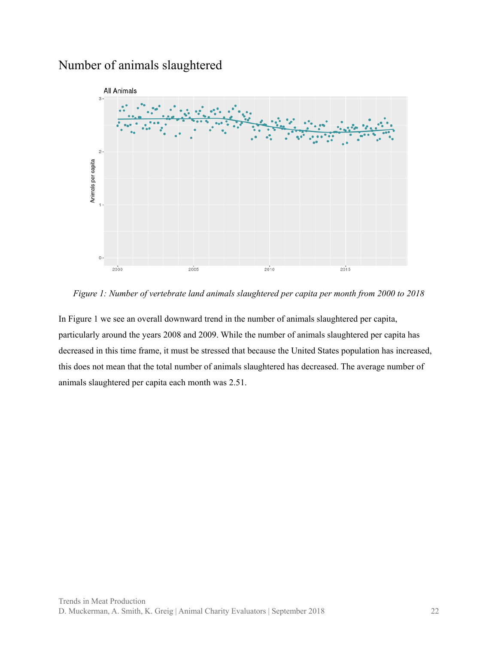### <span id="page-21-0"></span>Number of animals slaughtered



*Figure 1: Number of vertebrate land animals slaughtered per capita per month from 2000 to 2018*

In Figure 1 we see an overall downward trend in the number of animals slaughtered per capita, particularly around the years 2008 and 2009. While the number of animals slaughtered per capita has decreased in this time frame, it must be stressed that because the United States population has increased, this does not mean that the total number of animals slaughtered has decreased. The average number of animals slaughtered per capita each month was 2.51.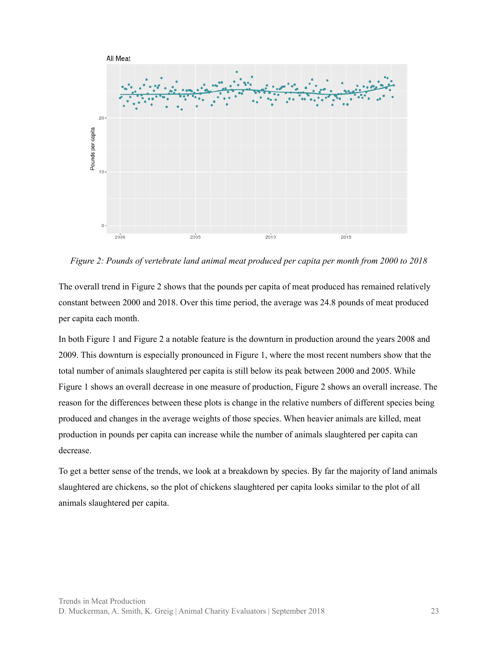

*Figure 2: Pounds of vertebrate land animal meat produced per capita per month from 2000 to 2018*

The overall trend in Figure 2 shows that the pounds per capita of meat produced has remained relatively constant between 2000 and 2018. Over this time period, the average was 24.8 pounds of meat produced per capita each month.

In both Figure 1 and Figure 2 a notable feature is the downturn in production around the years 2008 and 2009. This downturn is especially pronounced in Figure 1, where the most recent numbers show that the total number of animals slaughtered per capita is still below its peak between 2000 and 2005. While Figure 1 shows an overall decrease in one measure of production, Figure 2 shows an overall increase. The reason for the differences between these plots is change in the relative numbers of different species being produced and changes in the average weights of those species. When heavier animals are killed, meat production in pounds per capita can increase while the number of animals slaughtered per capita can decrease.

To get a better sense of the trends, we look at a breakdown by species. By far the majority of land animals slaughtered are chickens, so the plot of chickens slaughtered per capita looks similar to the plot of all animals slaughtered per capita.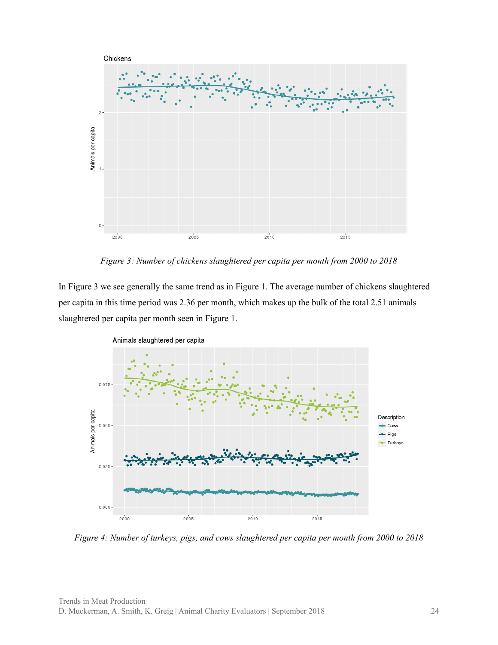

*Figure 3: Number of chickens slaughtered per capita per month from 2000 to 2018*

In Figure 3 we see generally the same trend as in Figure 1. The average number of chickens slaughtered per capita in this time period was 2.36 per month, which makes up the bulk of the total 2.51 animals slaughtered per capita per month seen in Figure 1.



*Figure 4: Number of turkeys, pigs, and cows slaughtered per capita per month from 2000 to 2018*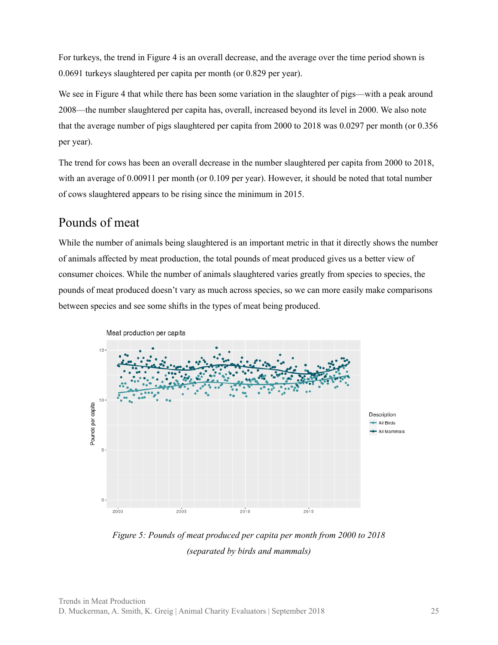For turkeys, the trend in Figure 4 is an overall decrease, and the average over the time period shown is 0.0691 turkeys slaughtered per capita per month (or 0.829 per year).

We see in Figure 4 that while there has been some variation in the slaughter of pigs—with a peak around 2008—the number slaughtered per capita has, overall, increased beyond its level in 2000. We also note that the average number of pigs slaughtered per capita from 2000 to 2018 was 0.0297 per month (or 0.356 per year).

The trend for cows has been an overall decrease in the number slaughtered per capita from 2000 to 2018, with an average of 0.00911 per month (or 0.109 per year). However, it should be noted that total number of cows slaughtered appears to be rising since the minimum in 2015.

#### <span id="page-24-0"></span>Pounds of meat

While the number of animals being slaughtered is an important metric in that it directly shows the number of animals affected by meat production, the total pounds of meat produced gives us a better view of consumer choices. While the number of animals slaughtered varies greatly from species to species, the pounds of meat produced doesn't vary as much across species, so we can more easily make comparisons between species and see some shifts in the types of meat being produced.



*Figure 5: Pounds of meat produced per capita per month from 2000 to 2018 (separated by birds and mammals)*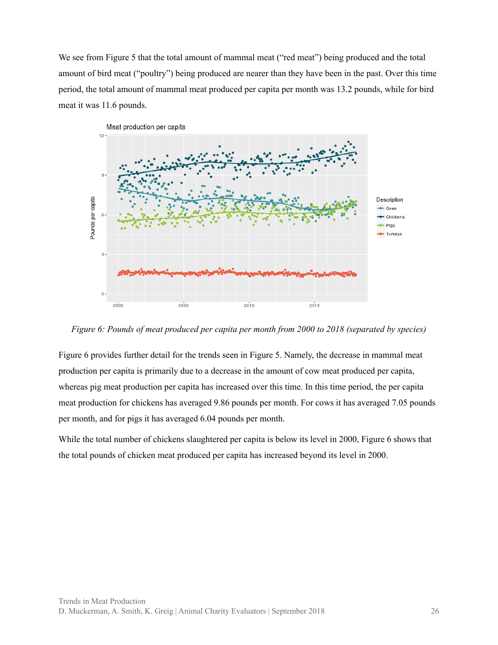We see from Figure 5 that the total amount of mammal meat ("red meat") being produced and the total amount of bird meat ("poultry") being produced are nearer than they have been in the past. Over this time period, the total amount of mammal meat produced per capita per month was 13.2 pounds, while for bird meat it was 11.6 pounds.



*Figure 6: Pounds of meat produced per capita per month from 2000 to 2018 (separated by species)*

Figure 6 provides further detail for the trends seen in Figure 5. Namely, the decrease in mammal meat production per capita is primarily due to a decrease in the amount of cow meat produced per capita, whereas pig meat production per capita has increased over this time. In this time period, the per capita meat production for chickens has averaged 9.86 pounds per month. For cows it has averaged 7.05 pounds per month, and for pigs it has averaged 6.04 pounds per month.

While the total number of chickens slaughtered per capita is below its level in 2000, Figure 6 shows that the total pounds of chicken meat produced per capita has increased beyond its level in 2000.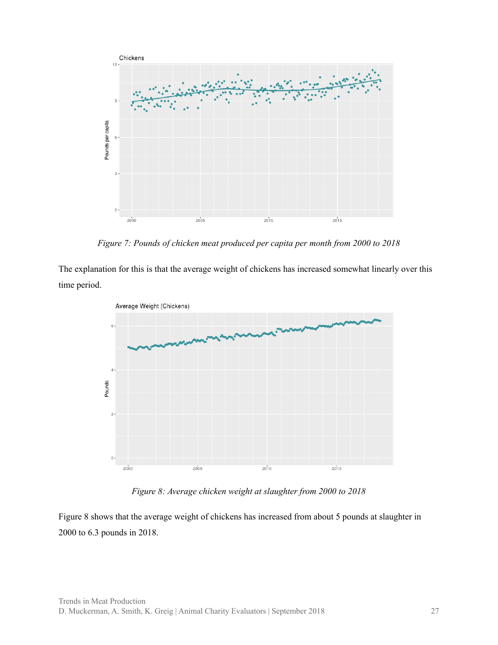

*Figure 7: Pounds of chicken meat produced per capita per month from 2000 to 2018*

The explanation for this is that the average weight of chickens has increased somewhat linearly over this time period.



*Figure 8: Average chicken weight at slaughter from 2000 to 2018*

Figure 8 shows that the average weight of chickens has increased from about 5 pounds at slaughter in 2000 to 6.3 pounds in 2018.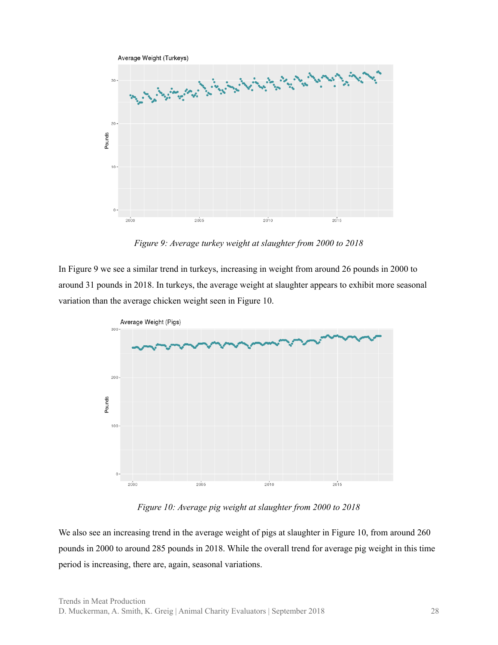

*Figure 9: Average turkey weight at slaughter from 2000 to 2018*

In Figure 9 we see a similar trend in turkeys, increasing in weight from around 26 pounds in 2000 to around 31 pounds in 2018. In turkeys, the average weight at slaughter appears to exhibit more seasonal variation than the average chicken weight seen in Figure 10.



*Figure 10: Average pig weight at slaughter from 2000 to 2018*

We also see an increasing trend in the average weight of pigs at slaughter in Figure 10, from around 260 pounds in 2000 to around 285 pounds in 2018. While the overall trend for average pig weight in this time period is increasing, there are, again, seasonal variations.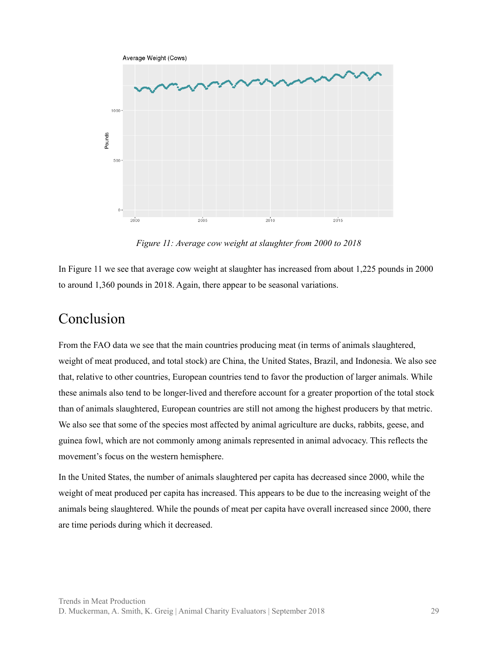

*Figure 11: Average cow weight at slaughter from 2000 to 2018*

In Figure 11 we see that average cow weight at slaughter has increased from about 1,225 pounds in 2000 to around 1,360 pounds in 2018. Again, there appear to be seasonal variations.

#### <span id="page-28-0"></span>Conclusion

From the FAO data we see that the main countries producing meat (in terms of animals slaughtered, weight of meat produced, and total stock) are China, the United States, Brazil, and Indonesia. We also see that, relative to other countries, European countries tend to favor the production of larger animals. While these animals also tend to be longer-lived and therefore account for a greater proportion of the total stock than of animals slaughtered, European countries are still not among the highest producers by that metric. We also see that some of the species most affected by animal agriculture are ducks, rabbits, geese, and guinea fowl, which are not commonly among animals represented in animal advocacy. This reflects the movement's focus on the western hemisphere.

In the United States, the number of animals slaughtered per capita has decreased since 2000, while the weight of meat produced per capita has increased. This appears to be due to the increasing weight of the animals being slaughtered. While the pounds of meat per capita have overall increased since 2000, there are time periods during which it decreased.